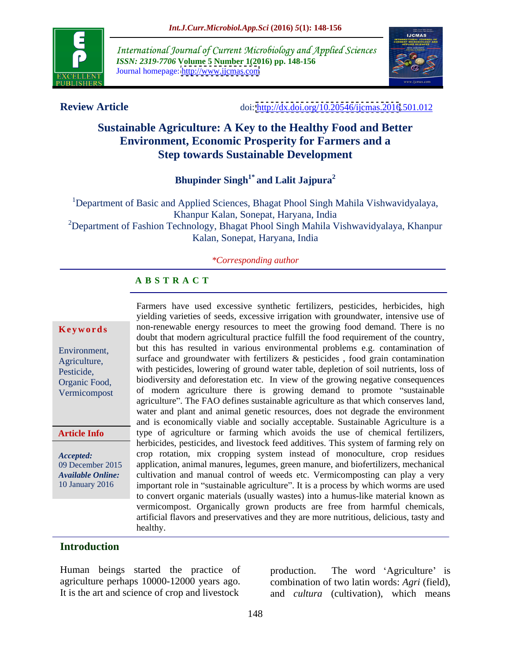

International Journal of Current Microbiology and Applied Sciences *ISSN: 2319-7706* **Volume 5 Number 1(2016) pp. 148-156** Journal homepage: <http://www.ijcmas.com>



**Review Article** doi:<http://dx.doi.org/10.20546/ijcmas.2016>.501.012

# **Sustainable Agriculture: A Key to the Healthy Food and Better Environment, Economic Prosperity for Farmers and a Step towards Sustainable Development**

**Bhupinder Singh1\* and Lalit Jajpura2**

<sup>1</sup>Department of Basic and Applied Sciences, Bhagat Phool Singh Mahila Vishwavidyalaya, Khanpur Kalan, Sonepat, Haryana, India <sup>2</sup>Department of Fashion Technology, Bhagat Phool Singh Mahila Vishwavidyalaya, Khanpur Kalan, Sonepat, Haryana, India

# *\*Corresponding author*

## **A B S T R A C T**

### **Article Info**

Farmers have used excessive synthetic fertilizers, pesticides, herbicides, high yielding varieties of seeds, excessive irrigation with groundwater, intensive use of **Keywords** non-renewable energy resources to meet the growing food demand. There is no doubt that modern agricultural practice fulfill the food requirement of the country, but this has resulted in various environmental problems e.g. contamination of Environment, surface and groundwater with fertilizers & pesticides , food grain contamination Agriculture, with pesticides, lowering of ground water table, depletion of soil nutrients, loss of Pesticide, biodiversity and deforestation etc. In view of the growing negative consequences Organic Food, Vermicompost of modern agriculture there is growing demand to promote "sustainable agriculture". The FAO defines sustainable agriculture as that which conserves land, water and plant and animal genetic resources, does not degrade the environment and is economically viable and socially acceptable. Sustainable Agriculture is a type of agriculture or farming which avoids the use of chemical fertilizers, herbicides, pesticides, and livestock feed additives. This system of farming rely on crop rotation, mix cropping system instead of monoculture, crop residues *Accepted:*  application, animal manures, legumes, green manure, and biofertilizers, mechanical 09 December 2015 Available Online: cultivation and manual control of weeds etc. Vermicomposting can play a very 10 January 2016 important role in "sustainable agriculture". It is a process by which worms are used to convert organic materials (usually wastes) into a humus-like material known as vermicompost. Organically grown products are free from harmful chemicals, artificial flavors and preservatives and they are more nutritious, delicious, tasty and healthy.

### **Introduction**

Human beings started the practice of production. agriculture perhaps 10000-12000 years ago. combination of two latin words: *Agri* (field),

It is the art and science of crop and livestock and *cultura* (cultivation), which means The word 'Agriculture' is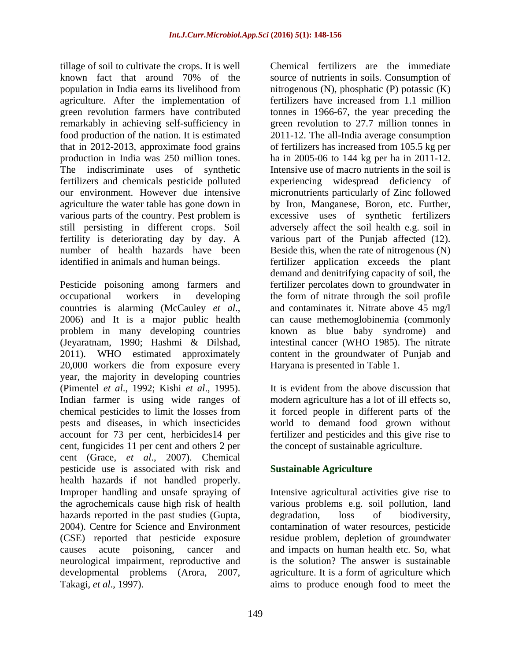tillage of soil to cultivate the crops. It is well various parts of the country. Pest problem is still persisting in different crops. Soil

20,000 workers die from exposure every year, the majority in developing countries (Pimentel *et al.*, 1992; Kishi *et al.*, 1995). It is evident from the above discussion that Indian farmer is using wide ranges of modern agriculture has a lot of ill effects so, chemical pesticides to limit the losses from it forced people in different parts of the pests and diseases, in which insecticides world to demand food grown without account for 73 per cent, herbicides14 per fertilizer and pesticides and this give rise to cent, fungicides 11 per cent and others 2 per cent (Grace, *et al*., 2007). Chemical pesticide use is associated with risk and health hazards if not handled properly. Improper handling and unsafe spraying of Intensive agricultural activities give rise to the agrochemicals cause high risk of health various problems e.g. soil pollution, land hazards reported in the past studies (Gupta, degradation, loss of biodiversity, 2004). Centre for Science and Environment contamination of water resources, pesticide (CSE) reported that pesticide exposure residue problem, depletion of groundwater causes acute poisoning, cancer and and impacts on human health etc. So, what neurological impairment, reproductive and is the solution? The answer is sustainable developmental problems (Arora, 2007, agriculture. It is a form of agriculture which

known fact that around 70% of the source of nutrients in soils. Consumption of population in India earns its livelihood from nitrogenous (N), phosphatic (P) potassic (K) agriculture. After the implementation of fertilizers have increased from 1.1 million green revolution farmers have contributed tonnes in 1966-67, the year preceding the remarkably in achieving self-sufficiency in green revolution to 27.7 million tonnes in food production of the nation. It is estimated 2011-12. The all-India average consumption that in 2012-2013, approximate food grains of fertilizers has increased from 105.5 kg per production in India was 250 million tones. ha in 2005-06 to 144 kg perha in 2011-12. The indiscriminate uses of synthetic Intensive use of macro nutrients in the soil is fertilizers and chemicals pesticide polluted experiencing widespread deficiency of our environment. However due intensive micronutrients particularly of Zinc followed agriculture the water table has gone down in by Iron, Manganese, Boron, etc. Further, fertility is deteriorating day by day. A various part of the Punjab affected (12). number of health hazards have been Beside this, when the rate of nitrogenous (N) identified in animals and human beings. fertilizer application exceeds the plant Pesticide poisoning among farmers and fertilizer percolates down to groundwater in occupational workers in developing the form of nitrate through the soil profile countries is alarming (McCauley *et al.*, and contaminates it. Nitrate above 45 mg/l 2006) and It is a major public health can cause methemoglobinemia (commonly problem in many developing countries known as blue baby syndrome) and (Jeyaratnam, 1990; Hashmi & Dilshad, intestinal cancer (WHO 1985). The nitrate 2011). WHO estimated approximately content in the groundwater of Punjab and Chemical fertilizers are the immediate source of nutrients in soils. Consumption of excessive uses of synthetic fertilizers adversely affect the soil health e.g. soil in demand and denitrifying capacity of soil, the and contaminates it. Nitrate above 45 mg/l can cause methemoglobinemia (commonly Haryana is presented in Table 1.

> It is evident from the above discussion that modern agriculture has a lot of ill effects so, the concept of sustainable agriculture.

# **Sustainable Agriculture**

Takagi, *et al*., 1997). aims to produce enough food to meet thedegradation, loss of biodiversity,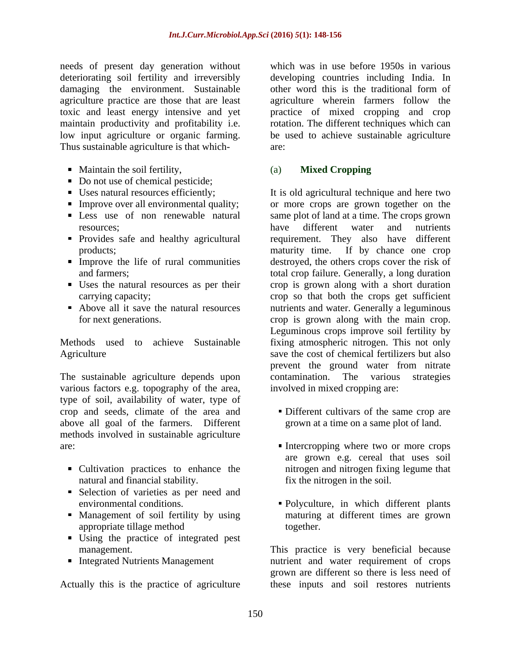needs of present day generation without deteriorating soil fertility and irreversibly developing countries including India. In damaging the environment. Sustainable other word this is the traditional form of agriculture practice are those that are least agriculture wherein farmers follow the toxic and least energy intensive and yet practice of mixed cropping and crop maintain productivity and profitability i.e.<br>low input agriculture or organic farming. low input agriculture or organic farming. be used to achieve sustainable agriculture Thus sustainable agriculture is that which-

- Maintain the soil fertility, (a) Mixed Cropping
- Do not use of chemical pesticide;
- 
- 
- 
- 
- 
- 
- 

The sustainable agriculture depends upon contamination. The various strategies various factors e.g. topography of the area, type of soil, availability of water, type of crop and seeds, climate of the area and above all goal of the farmers. Different methods involved in sustainable agriculture

- natural and financial stability.
- Selection of varieties as per need and
- 
- Using the practice of integrated pest management.
- 

which was in use before 1950s in various other word this is the traditional form of rotation. The different techniques which can are:

# (a) **Mixed Cropping**

Uses natural resources efficiently; It is old agricultural technique and here two Improve over all environmental quality; or more crops are grown together on the Less use of non renewable natural same plot of land at a time. The crops grown resources; have different water and nutrients Provides safe and healthy agricultural requirement. They also have different products; maturity time. If by chance one crop Improve the life of rural communities destroyed, the others crops cover the risk of and farmers; total crop failure. Generally, a long duration Uses the natural resources as per their crop is grown along with a short duration carrying capacity; example of the crops of that both the crops get sufficient Above all it save the natural resources nutrients and water. Generally a leguminous for next generations. crop is grown along with the main crop. Methods used to achieve Sustainable fixing atmospheric nitrogen. This not only Agriculture save the cost of chemical fertilizers but also have different water and nutrients maturity time. If by chance one crop Leguminous crops improve soil fertility by prevent the ground water from nitrate contamination. The various strategies involved in mixed cropping are:

- Different cultivars of the same crop are grown at a time on a same plot of land.
- are: Intercropping where two or more crops Cultivation practices to enhance the nitrogen and nitrogen fixing legume that are grown e.g. cereal that uses soil fix the nitrogen in the soil.
	- environmental conditions. Polyculture, in which different plants Management of soil fertility by using maturing at different times are grown appropriate tillage method together.

management. This practice is very beneficial because Integrated Nutrients Management and rutrient and water requirement of crops Actually this is the practice of agriculture these inputs and soil restores nutrientsgrown are different so there is less need of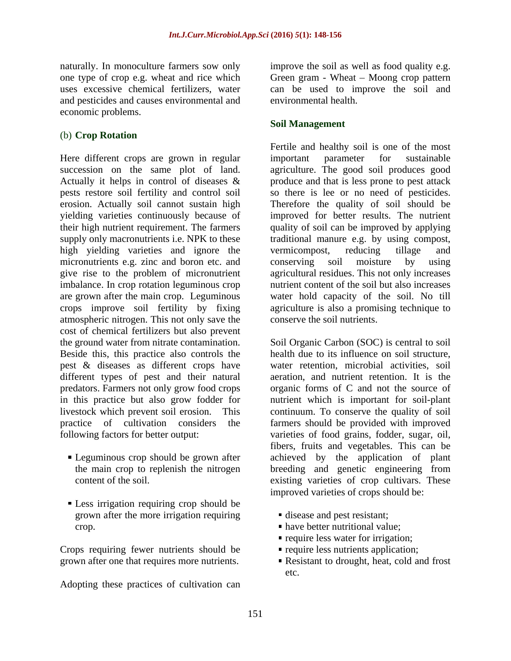and pesticides and causes environmental and economic problems.

# (b) **Crop Rotation**

Here different crops are grown in regular important parameter for sustainable succession on the same plot of land. agriculture. The good soil produces good Actually it helps in control of diseases & produce and that is less prone to pest attack pests restore soil fertility and control soil so there is lee or no need of pesticides. erosion. Actually soil cannot sustain high Therefore the quality of soil should be yielding varieties continuously because of improved for better results. The nutrient their high nutrient requirement. The farmers quality of soil can be improved by applying supply only macronutrients i.e. NPK to these traditional manure e.g. by using compost, high yielding varieties and ignore the vermicompost, reducing tillage and micronutrients e.g. zinc and boron etc. and conserving soil moisture by using give rise to the problem of micronutrient imbalance. In crop rotation leguminous crop are grown after the main crop. Leguminous water hold capacity of the soil. No till crops improve soil fertility by fixing agriculture is also a promising techniqueto atmospheric nitrogen. This not only save the cost of chemical fertilizers but also prevent the ground water from nitrate contamination. Soil Organic Carbon (SOC) is central to soil Beside this, this practice also controls the pest & diseases as different crops have different types of pest and their natural different types of pest and their natural aeration, and nutrient retention. It is the predators. Farmers not only grow food crops organic forms of C and not the source of in this practice but also grow fodder for nutrient which is important for soil-plant livestock which prevent soil erosion. This continuum. To conserve the quality of soil practice of cultivation considers the farmers should be provided with improved following factors for better output: varieties of food grains, fodder, sugar, oil,

- 
- Less irrigation requiring crop should be grown after the more irrigation requiring crop. have better nutritional value;

Crops requiring fewer nutrients should be grown after one that requires more nutrients.

Adopting these practices of cultivation can

naturally. In monoculture farmers sow only improve the soil as well as food quality e.g. one type of crop e.g. wheat and rice which Green gram - Wheat – Moong crop pattern uses excessive chemical fertilizers, water can be used to improve the soil and environmental health.

# **Soil Management**

Fertile and healthy soil is one of the most important parameter for sustainable vermicompost, reducing tillage and conserving soil moisture by using agricultural residues. This not only increases nutrient content of the soil but also increases conserve the soil nutrients.

Leguminous crop should be grown after achieved by the application of plant the main crop to replenish the nitrogen breeding and genetic engineering from content of the soil.<br>existing varieties of crop cultivars. These content of the soil. existing varieties of crop cultivars. These health due to its influence on soil structure, water retention, microbial activities, soil fibers, fruits and vegetables. This can be breeding and genetic engineering from improved varieties of crops should be:

- disease and pest resistant;
- 
- **require less water for irrigation;**
- require less nutrients application;
- Resistant to drought, heat, cold and frost etc.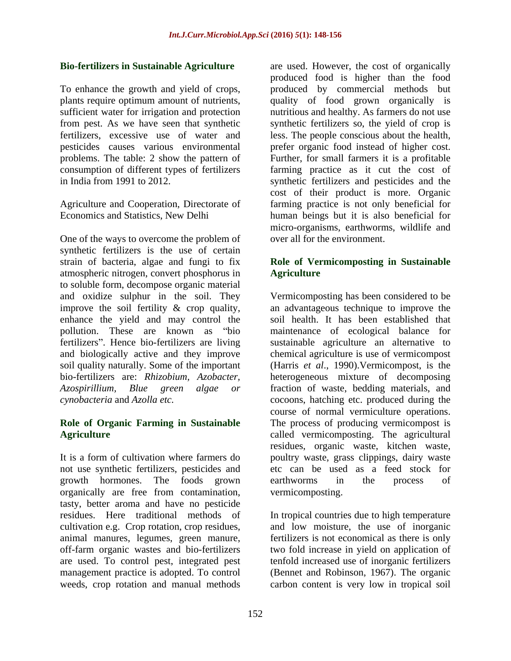problems. The table: 2 show the pattern of

One of the ways to overcome the problem of synthetic fertilizers is the use of certain strain of bacteria, algae and fungi to fix atmospheric nitrogen, convert phosphorus in to soluble form, decompose organic material enhance the yield and may control the bio-fertilizers are: *Rhizobium, Azobacter,* 

growth hormones. The foods grown organically are free from contamination, tasty, better aroma and have no pesticide cultivation e.g. Crop rotation, crop residues, management practice is adopted. To control<br>weeds, crop rotation and manual methods weeds, crop rotation and manual methods carbon content is very low in tropical soil

**Bio-fertilizers in Sustainable Agriculture** are used. However, the cost of organically To enhance the growth and yield of crops, produced by commercial methods but plants require optimum amount of nutrients, quality of food grown organically is sufficient water for irrigation and protection nutritious and healthy. As farmers do not use from pest. As we have seen that synthetic synthetic fertilizers so, the yield of crop is fertilizers, excessive use of water and less. The people conscious about the health, pesticides causes various environmental prefer organic food instead of higher cost. consumption of different types of fertilizers farming practice as it cut the cost of in India from 1991 to 2012. synthetic fertilizers and pesticides and the Agriculture and Cooperation, Directorate of farming practice is not only beneficial for Economics and Statistics, New Delhi human beings but it is also beneficial for produced food is higher than the food Further, for small farmers it is a profitable cost of their product is more. Organic micro-organisms, earthworms, wildlife and over all for the environment.

# **Role of Vermicomposting in Sustainable Agriculture**

and oxidize sulphur in the soil. They Vermicomposting has been considered to be improve the soil fertility & crop quality, an advantageous technique to improve the pollution. These are known as "bio maintenance of ecological balance for fertilizers". Hence bio-fertilizers are living sustainable agriculture an alternative to and biologically active and they improve chemical agriculture is use of vermicompost soil quality naturally. Some of the important (Harris *et al*., 1990).Vermicompost, is the *Azospirillium, Blue green algae or* fraction of waste, bedding materials, and *cynobacteria* and *Azolla etc.*  cocoons, hatching etc. produced during the **Role of Organic Farming in Sustainable** The process of producing vermicompost is Agriculture **Agriculture Called** vermicomposting. The agricultural It is a form of cultivation where farmers do poultry waste, grass clippings, dairy waste not use synthetic fertilizers, pesticides and etc can be used as a feed stock for soil health. It has been established that heterogeneous mixture of decomposing course of normal vermiculture operations. residues, organic waste, kitchen waste, earthworms in the process of vermicomposting.

residues. Here traditional methods of In tropical countries due to high temperature animal manures, legumes, green manure, fertilizers is not economical as there is only off-farm organic wastes and bio-fertilizers two fold increase in yield on application of are used. To control pest, integrated pest tenfold increased use of inorganic fertilizers and low moisture, the use of inorganic (Bennet and Robinson, 1967). The organic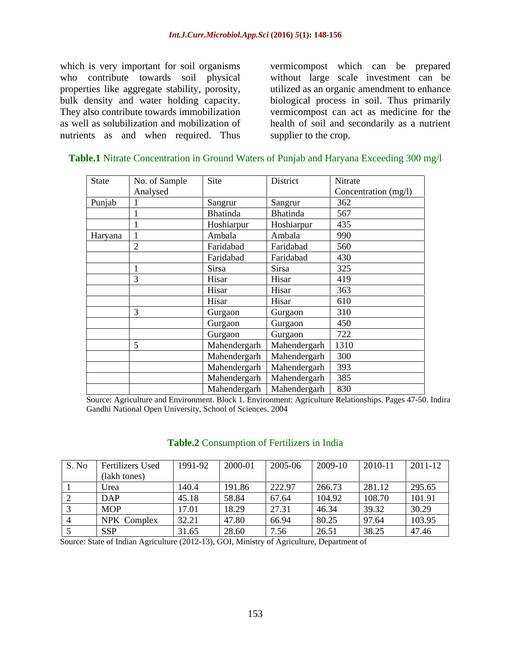which is very important for soil organisms vermicompost which can be prepared who contribute towards soil physical without large scale investment can be properties like aggregate stability, porosity, utilized as an organic amendment to enhance bulk density and water holding capacity. biological process in soil. Thus primarily They also contribute towards immobilization vermicompost can act as medicine for the as well as solubilization and mobilization of health of soil and secondarily as a nutrient nutrients as and when required. Thus

supplier to the crop.

| State   | No. of Sample | Site                              | District          | Nitrate              |
|---------|---------------|-----------------------------------|-------------------|----------------------|
|         | Analysed      |                                   |                   | Concentration (mg/l) |
| Punjab  |               | Sangrur                           | Sangrur           | 362                  |
|         |               | Bhatinda                          | Bhatinda          | 567                  |
|         |               | Hoshiarpur                        | Hoshiarpur        | 435                  |
| Haryana |               | Ambala                            | Ambala            | 990                  |
|         |               | Faridabad                         | Faridabad         | 560                  |
|         |               | Faridabad                         | Faridabad         | 430                  |
|         |               | Sirsa                             | Sirsa             | 325                  |
|         |               | Hisar                             | Hisar             | 419                  |
|         |               | Hisar                             | Hisar             | 363                  |
|         |               | Hisar                             | Hisar             | 610                  |
|         |               | Gurgaon                           | Gurgaon           | 310                  |
|         |               | Gurgaon                           | Gurgaon           | 450                  |
|         |               | Gurgaon                           | Gurgaon           | 722                  |
|         |               | Mahendergarh                      | Mahendergarh 1310 |                      |
|         |               | Mahendergarh   Mahendergarh   300 |                   |                      |
|         |               | Mahendergarh   Mahendergarh   393 |                   |                      |
|         |               | Mahendergarh   Mahendergarh   385 |                   |                      |
|         |               | Mahendergarh   Mahendergarh   830 |                   |                      |

### **Table.1** Nitrate Concentration in Ground Waters of Punjab and Haryana Exceeding 300 mg/l

Source: Agriculture and Environment. Block 1. Environment: Agriculture Relationships. Pages 47-50. Indira Gandhi National Open University, School of Sciences. 2004

### **Table.2** Consumption of Fertilizers in India

| S. No | Fertilizers Used | 1991-92 | 2000-01 | 2005-06 | 2009-10 | 2010-11 | 2011-12 |
|-------|------------------|---------|---------|---------|---------|---------|---------|
|       | (lakh tones)     |         |         |         |         |         |         |
|       | Urea             | 140.4   | 191.86  | 222.97  | 266.73  | 281.12  | 295.65  |
|       | <b>DAP</b>       | 45.18   | 58.84   | 67.64   | 104.92  | 108.70  | 101.91  |
|       | <b>MOI</b>       | 17.01   | 18.29   | 27.3    | 46.34   | 39.32   | 30.29   |
|       | NPK Complex      | 32.21   | 47.80   | 66.94   | 80.25   | 97.64   | 103.95  |
|       | <b>SSP</b>       | 31.65   | 28.60   | 7.56    | 26.51   | 38.25   | 47.46   |

Source: State of Indian Agriculture (2012-13), GOI, Ministry of Agriculture, Department of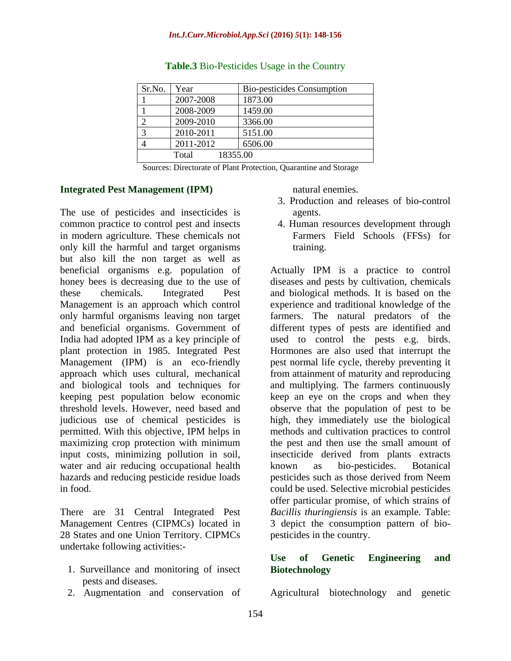| Sr.No.                   | Year      | Bio-pesticides Consumption |
|--------------------------|-----------|----------------------------|
|                          | 2007-2008 | 1873.00                    |
|                          | 2008-2009 | 1459.00                    |
| $\overline{\phantom{0}}$ | 2009-2010 | 3366.00                    |
|                          | 2010-2011 | 5151.00                    |
|                          | 2011-2012 | 6506.00                    |
|                          | Total     | 18355.00                   |

### **Table.3** Bio-Pesticides Usage in the Country

Sources: Directorate of Plant Protection, Quarantine and Storage

### **Integrated Pest Management (IPM)**

The use of pesticides and insecticides is agents. common practice to control pest and insects 4. Human resources development through in modern agriculture. These chemicals not only kill the harmful and target organisms but also kill the non target as well as beneficial organisms e.g. population of Actually IPM is a practice to control honey bees is decreasing due to the use of diseases and pests by cultivation, chemicals these chemicals. Integrated Pest and biological methods. It is based on the Management is an approach which control experience and traditional knowledge of the only harmful organisms leaving non target farmers. The natural predators of the and beneficial organisms. Government of different types of pests are identified and India had adopted IPM as a key principle of used to control the pests e.g. birds. plant protection in 1985. Integrated Pest Hormones are also used that interrupt the Management (IPM) is an eco-friendly pest normal life cycle, thereby preventing it approach which uses cultural, mechanical from attainment of maturity and reproducing and biological tools and techniques for keeping pest population below economic keep an eye on the crops and when they threshold levels. However, need based and observe that the population of pest to be judicious use of chemical pesticides is high, they immediately use the biological permitted. With this objective, IPM helps in maximizing crop protection with minimum the pest and then use the small amount of input costs, minimizing pollution in soil, insecticide derived from plants extracts water and air reducing occupational health known as bio-pesticides. Botanical hazards and reducing pesticide residue loads

There are 31 Central Integrated Pest 28 States and one Union Territory. CIPMCs undertake following activities:-

- 1. Surveillance and monitoring of insect Biotechnology pests and diseases.
- 

natural enemies.

- 3. Production and releases of bio-control agents.
- Farmers Field Schools (FFSs) for training.

in food. could be used. Selective microbial pesticides Management Centres (CIPMCs) located in 3 depict the consumption pattern of bio and multiplying. The farmers continuously methods and cultivation practices to control known as bio-pesticides. Botanical pesticides such as those derived from Neem offer particular promise, of which strains of *Bacillis thuringiensis* is an example. Table: pesticides in the country.

# **Use of Genetic Engineering and Biotechnology**

2. Augmentation and conservation of Agricultural biotechnology and genetic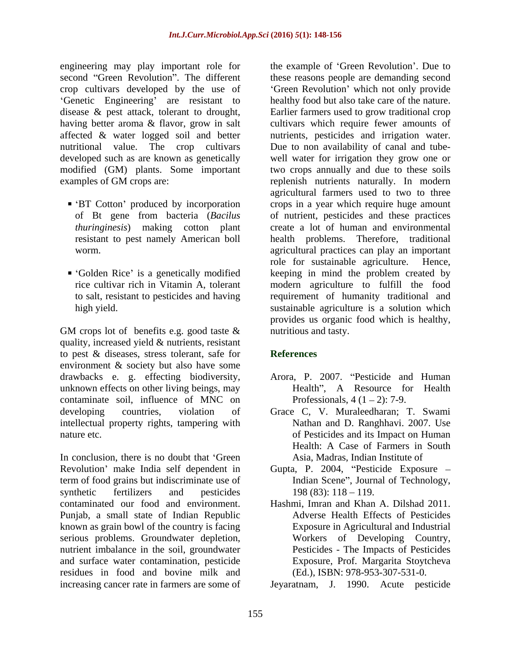engineering may play important role for second "Green Revolution". The different these reasons people are demanding second crop cultivars developed by the use of 'Genetic Engineering' are resistant to disease  $\&$  pest attack, tolerant to drought, disease & pest attack, tolerant to drought, Earlier farmers used to grow traditional crop having better aroma & flavor, grow in salt affected & water logged soil and better nutrients, pesticides and irrigation water. nutritional value. The crop cultivars Due to non availability of canal and tube developed such as are known as genetically well water for irrigation they grow one or modified (GM) plants. Some important two crops annually and due to these soils examples of GM crops are: replenish nutrients naturally. In modern

- 
- 

GM crops lot of benefits e.g. good taste & quality, increased yield & nutrients, resistant to pest & diseases, stress tolerant, safe for environment & society but also have some drawbacks e. g. effecting biodiversity, Arora, P. 2007. "Pesticide and Human unknown effects on other living beings, may contaminate soil, influence of MNC on developing countries, violation of Grace C, V. Muraleedharan; T. Swami intellectual property rights, tampering with nature etc. of Pesticides and its Impact on Human

In conclusion, there is no doubt that 'Green' Revolution' make India self dependent in Gupta, P. 2004, "Pesticide Exposure – term of food grains but indiscriminate use of synthetic fertilizers and pesticides 198 (83): 118 – 119. contaminated our food and environment. Punjab, a small state of Indian Republic known as grain bowl of the country is facing serious problems. Groundwater depletion, nutrient imbalance in the soil, groundwater and surface water contamination, pesticide residues in food and bovine milk and

BT Cotton' produced by incorporation crops in a year which require huge amount of Bt gene from bacteria (*Bacilus*  of nutrient, pesticides and these practices *thuringinesis*) making cotton plant create a lot of human and environmental resistant to pest namely American boll health problems. Therefore, traditional worm. agricultural practices can play an important Golden Rice' is a genetically modified like eping in mind the problem created by rice cultivar rich in Vitamin A, tolerant modern agriculture to fulfill the food to salt, resistant to pesticides and having requirement of humanity traditional and high yield. sustainable agriculture is a solution which the example of 'Green Revolution'. Due to 'Green Revolution' which not only provide healthy food but also take care of the nature. cultivars which require fewer amounts of agricultural farmers used to two to three role for sustainable agriculture. Hence, provides us organic food which is healthy, nutritious and tasty.

# **References**

- Health", A Resource for Health Professionals,  $4(1 – 2)$ : 7-9.
- Nathan and D. Ranghhavi. 2007. Use Health: A Case of Farmers in South Asia, Madras, Indian Institute of
- Indian Scene", Journal of Technology,  $198 (83): 118 - 119.$
- Hashmi, Imran and Khan A. Dilshad 2011. Adverse Health Effects of Pesticides Exposure in Agricultural and Industrial Workers of Developing Country, Pesticides - The Impacts of Pesticides Exposure, Prof. Margarita Stoytcheva (Ed.), ISBN: 978-953-307-531-0.

increasing cancer rate in farmers are some of Jeyaratnam, J. 1990. Acute pesticide